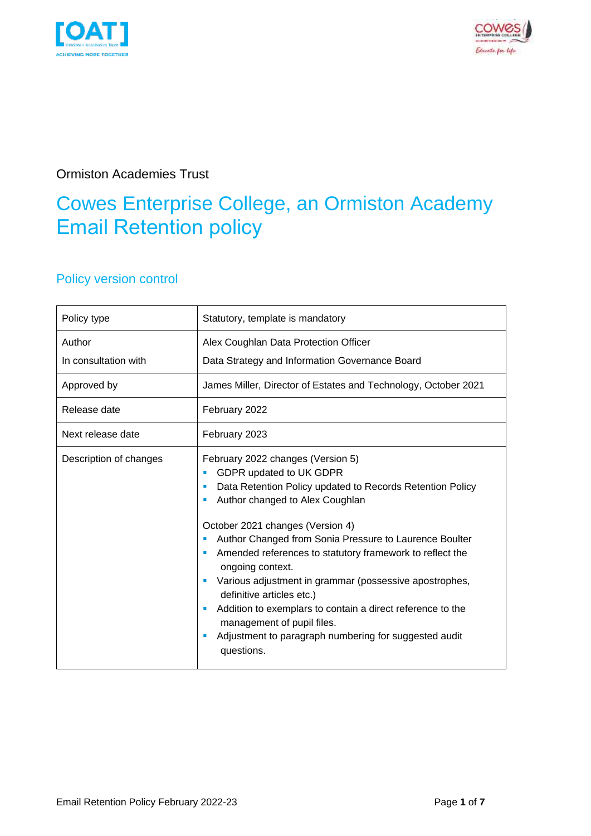



#### Ormiston Academies Trust

### Cowes Enterprise College, an Ormiston Academy Email Retention policy

#### Policy version control

| Policy type                    | Statutory, template is mandatory                                                                                                                                                                                                                                                                                                                                                                                                                                                                                                                                                                          |
|--------------------------------|-----------------------------------------------------------------------------------------------------------------------------------------------------------------------------------------------------------------------------------------------------------------------------------------------------------------------------------------------------------------------------------------------------------------------------------------------------------------------------------------------------------------------------------------------------------------------------------------------------------|
| Author<br>In consultation with | Alex Coughlan Data Protection Officer<br>Data Strategy and Information Governance Board                                                                                                                                                                                                                                                                                                                                                                                                                                                                                                                   |
| Approved by                    | James Miller, Director of Estates and Technology, October 2021                                                                                                                                                                                                                                                                                                                                                                                                                                                                                                                                            |
| Release date                   | February 2022                                                                                                                                                                                                                                                                                                                                                                                                                                                                                                                                                                                             |
| Next release date              | February 2023                                                                                                                                                                                                                                                                                                                                                                                                                                                                                                                                                                                             |
| Description of changes         | February 2022 changes (Version 5)<br>GDPR updated to UK GDPR<br>п<br>Data Retention Policy updated to Records Retention Policy<br>Author changed to Alex Coughlan<br>October 2021 changes (Version 4)<br>Author Changed from Sonia Pressure to Laurence Boulter<br>Amended references to statutory framework to reflect the<br>ongoing context.<br>Various adjustment in grammar (possessive apostrophes,<br>definitive articles etc.)<br>Addition to exemplars to contain a direct reference to the<br>management of pupil files.<br>Adjustment to paragraph numbering for suggested audit<br>questions. |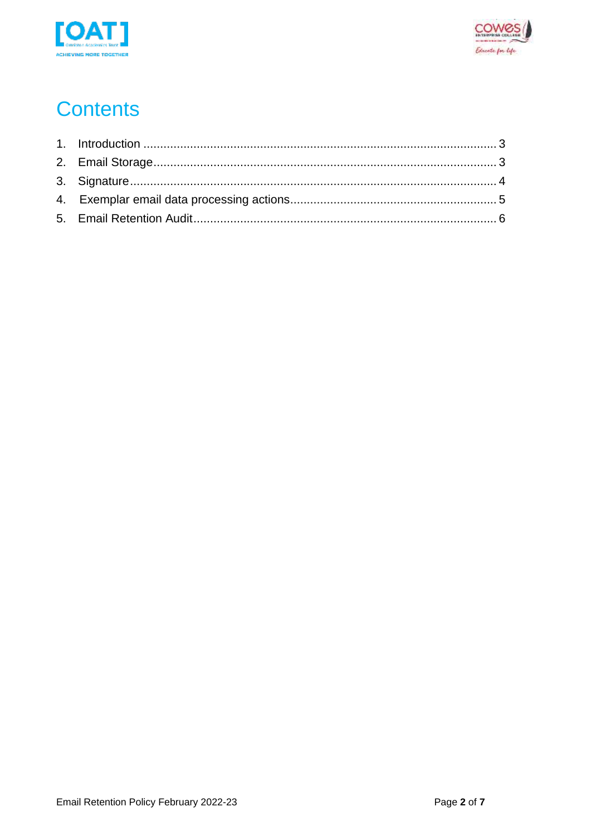



# **Contents**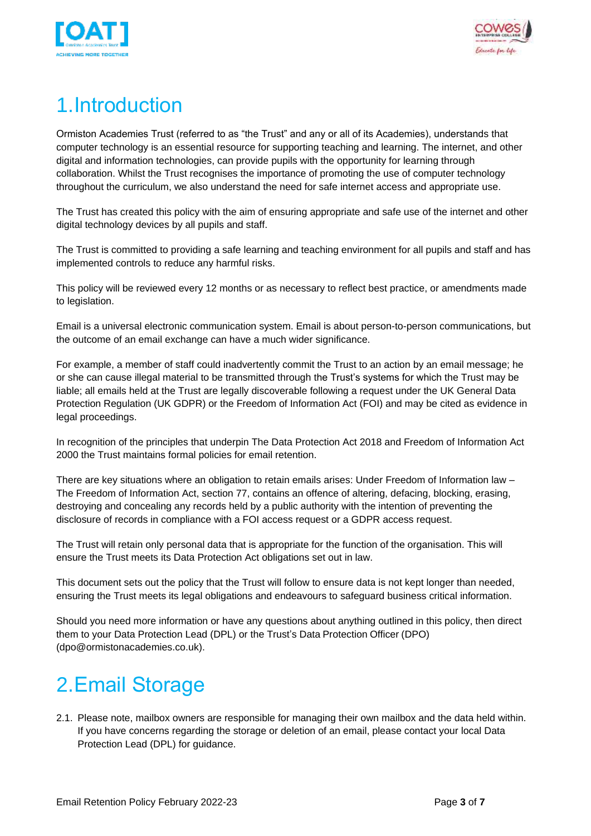



# <span id="page-2-0"></span>1.Introduction

Ormiston Academies Trust (referred to as "the Trust" and any or all of its Academies), understands that computer technology is an essential resource for supporting teaching and learning. The internet, and other digital and information technologies, can provide pupils with the opportunity for learning through collaboration. Whilst the Trust recognises the importance of promoting the use of computer technology throughout the curriculum, we also understand the need for safe internet access and appropriate use.

The Trust has created this policy with the aim of ensuring appropriate and safe use of the internet and other digital technology devices by all pupils and staff.

The Trust is committed to providing a safe learning and teaching environment for all pupils and staff and has implemented controls to reduce any harmful risks.

This policy will be reviewed every 12 months or as necessary to reflect best practice, or amendments made to legislation.

Email is a universal electronic communication system. Email is about person-to-person communications, but the outcome of an email exchange can have a much wider significance.

For example, a member of staff could inadvertently commit the Trust to an action by an email message; he or she can cause illegal material to be transmitted through the Trust's systems for which the Trust may be liable; all emails held at the Trust are legally discoverable following a request under the UK General Data Protection Regulation (UK GDPR) or the Freedom of Information Act (FOI) and may be cited as evidence in legal proceedings.

In recognition of the principles that underpin The Data Protection Act 2018 and Freedom of Information Act 2000 the Trust maintains formal policies for email retention.

There are key situations where an obligation to retain emails arises: Under Freedom of Information law – The Freedom of Information Act, section 77, contains an offence of altering, defacing, blocking, erasing, destroying and concealing any records held by a public authority with the intention of preventing the disclosure of records in compliance with a FOI access request or a GDPR access request.

The Trust will retain only personal data that is appropriate for the function of the organisation. This will ensure the Trust meets its Data Protection Act obligations set out in law.

This document sets out the policy that the Trust will follow to ensure data is not kept longer than needed, ensuring the Trust meets its legal obligations and endeavours to safeguard business critical information.

Should you need more information or have any questions about anything outlined in this policy, then direct them to your Data Protection Lead (DPL) or the Trust's Data Protection Officer (DPO) (dpo@ormistonacademies.co.uk).

# <span id="page-2-1"></span>2.Email Storage

2.1. Please note, mailbox owners are responsible for managing their own mailbox and the data held within. If you have concerns regarding the storage or deletion of an email, please contact your local Data Protection Lead (DPL) for guidance.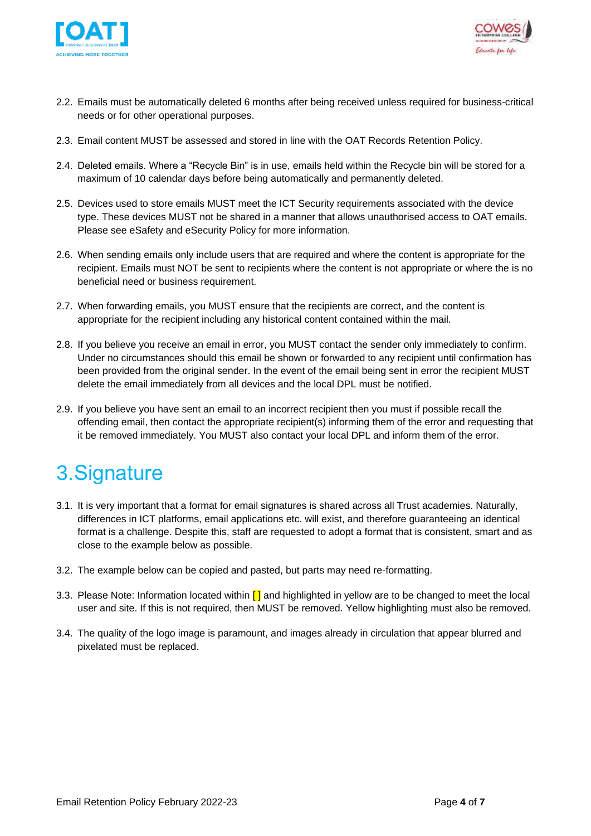



- 2.2. Emails must be automatically deleted 6 months after being received unless required for business-critical needs or for other operational purposes.
- 2.3. Email content MUST be assessed and stored in line with the OAT Records Retention Policy.
- 2.4. Deleted emails. Where a "Recycle Bin" is in use, emails held within the Recycle bin will be stored for a maximum of 10 calendar days before being automatically and permanently deleted.
- 2.5. Devices used to store emails MUST meet the ICT Security requirements associated with the device type. These devices MUST not be shared in a manner that allows unauthorised access to OAT emails. Please see eSafety and eSecurity Policy for more information.
- 2.6. When sending emails only include users that are required and where the content is appropriate for the recipient. Emails must NOT be sent to recipients where the content is not appropriate or where the is no beneficial need or business requirement.
- 2.7. When forwarding emails, you MUST ensure that the recipients are correct, and the content is appropriate for the recipient including any historical content contained within the mail.
- 2.8. If you believe you receive an email in error, you MUST contact the sender only immediately to confirm. Under no circumstances should this email be shown or forwarded to any recipient until confirmation has been provided from the original sender. In the event of the email being sent in error the recipient MUST delete the email immediately from all devices and the local DPL must be notified.
- 2.9. If you believe you have sent an email to an incorrect recipient then you must if possible recall the offending email, then contact the appropriate recipient(s) informing them of the error and requesting that it be removed immediately. You MUST also contact your local DPL and inform them of the error.

# <span id="page-3-0"></span>3.Signature

- 3.1. It is very important that a format for email signatures is shared across all Trust academies. Naturally, differences in ICT platforms, email applications etc. will exist, and therefore guaranteeing an identical format is a challenge. Despite this, staff are requested to adopt a format that is consistent, smart and as close to the example below as possible.
- 3.2. The example below can be copied and pasted, but parts may need re-formatting.
- 3.3. Please Note: Information located within  $\lceil \cdot \rceil$  and highlighted in yellow are to be changed to meet the local user and site. If this is not required, then MUST be removed. Yellow highlighting must also be removed.
- 3.4. The quality of the logo image is paramount, and images already in circulation that appear blurred and pixelated must be replaced.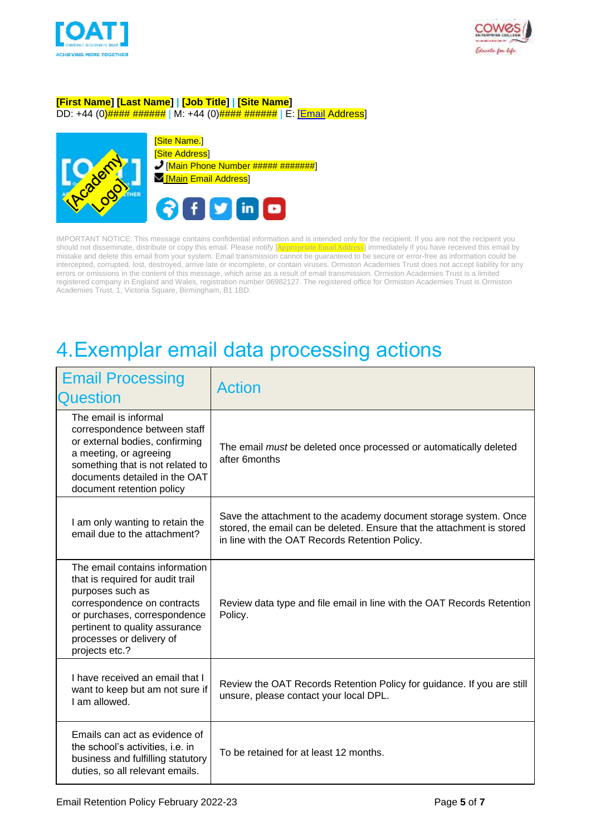



#### **[First Name] [Last Name] | [Job Title] | [Site Name]**

DD: +44 (0) $\frac{\mu}{\mu}$  +  $\frac{\mu}{\mu}$  +  $\frac{\mu}{\mu}$  +  $\frac{\mu}{\mu}$  +44 (0)  $\frac{\mu}{\mu}$  +  $\frac{\mu}{\mu}$  +  $\frac{\mu}{\mu}$  +  $\frac{\mu}{\mu}$  | E:  $\frac{\mu}{\mu}$  | E:  $\frac{\mu}{\mu}$  Address]



[Site Name.] **[Site Address]**  $\bigcup$  [Main Phone Number ##### #######] Main Email Address



IMPORTANT NOTICE: This message contains confidential information and is intended only for the recipient. If you are not the recipient you should not disseminate, distribute or copy this email. Please notify [Appropriate Email Address] immediately if you have received this email by mistake and delete this email from your system. Email transmission cannot be guaranteed to be secure or error-free as information could be intercepted, corrupted, lost, destroyed, arrive late or incomplete, or contain viruses. Ormiston Academies Trust does not accept liability for any errors or omissions in the content of this message, which arise as a result of email transmission. Ormiston Academies Trust is a limited registered company in England and Wales, registration number 06982127. The registered office for Ormiston Academies Trust is Ormiston Academies Trust, 1, Victoria Square, Birmingham, B1 1BD.

### <span id="page-4-0"></span>4.Exemplar email data processing actions

| <b>Email Processing</b><br><b>Question</b>                                                                                                                                                                                            | Action                                                                                                                                                                                       |
|---------------------------------------------------------------------------------------------------------------------------------------------------------------------------------------------------------------------------------------|----------------------------------------------------------------------------------------------------------------------------------------------------------------------------------------------|
| The email is informal<br>correspondence between staff<br>or external bodies, confirming<br>a meeting, or agreeing<br>something that is not related to<br>documents detailed in the OAT<br>document retention policy                   | The email must be deleted once processed or automatically deleted<br>after 6months                                                                                                           |
| I am only wanting to retain the<br>email due to the attachment?                                                                                                                                                                       | Save the attachment to the academy document storage system. Once<br>stored, the email can be deleted. Ensure that the attachment is stored<br>in line with the OAT Records Retention Policy. |
| The email contains information<br>that is required for audit trail<br>purposes such as<br>correspondence on contracts<br>or purchases, correspondence<br>pertinent to quality assurance<br>processes or delivery of<br>projects etc.? | Review data type and file email in line with the OAT Records Retention<br>Policy.                                                                                                            |
| I have received an email that I<br>want to keep but am not sure if<br>I am allowed.                                                                                                                                                   | Review the OAT Records Retention Policy for guidance. If you are still<br>unsure, please contact your local DPL.                                                                             |
| Emails can act as evidence of<br>the school's activities, i.e. in<br>business and fulfilling statutory<br>duties, so all relevant emails.                                                                                             | To be retained for at least 12 months.                                                                                                                                                       |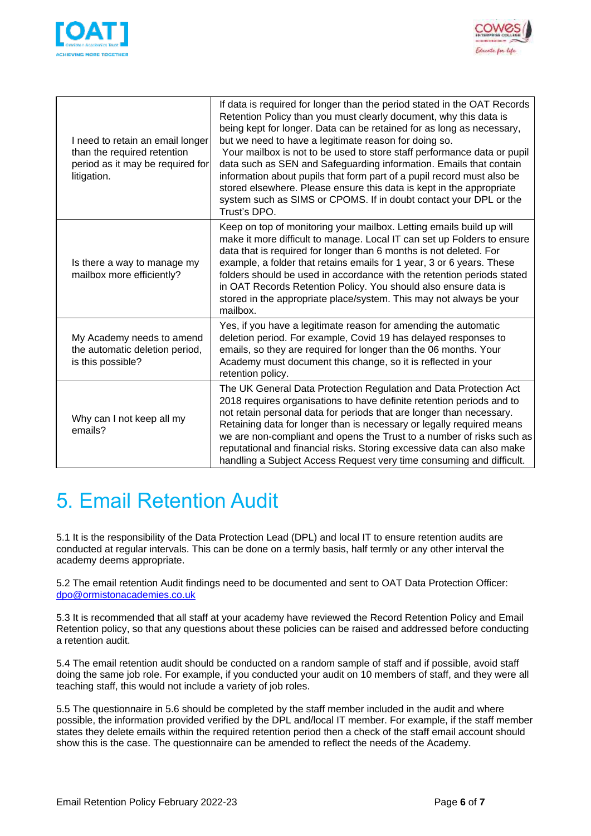



| I need to retain an email longer<br>than the required retention<br>period as it may be required for<br>litigation. | If data is required for longer than the period stated in the OAT Records<br>Retention Policy than you must clearly document, why this data is<br>being kept for longer. Data can be retained for as long as necessary,<br>but we need to have a legitimate reason for doing so.<br>Your mailbox is not to be used to store staff performance data or pupil<br>data such as SEN and Safeguarding information. Emails that contain<br>information about pupils that form part of a pupil record must also be<br>stored elsewhere. Please ensure this data is kept in the appropriate<br>system such as SIMS or CPOMS. If in doubt contact your DPL or the<br>Trust's DPO. |
|--------------------------------------------------------------------------------------------------------------------|-------------------------------------------------------------------------------------------------------------------------------------------------------------------------------------------------------------------------------------------------------------------------------------------------------------------------------------------------------------------------------------------------------------------------------------------------------------------------------------------------------------------------------------------------------------------------------------------------------------------------------------------------------------------------|
| Is there a way to manage my<br>mailbox more efficiently?                                                           | Keep on top of monitoring your mailbox. Letting emails build up will<br>make it more difficult to manage. Local IT can set up Folders to ensure<br>data that is required for longer than 6 months is not deleted. For<br>example, a folder that retains emails for 1 year, 3 or 6 years. These<br>folders should be used in accordance with the retention periods stated<br>in OAT Records Retention Policy. You should also ensure data is<br>stored in the appropriate place/system. This may not always be your<br>mailbox.                                                                                                                                          |
| My Academy needs to amend<br>the automatic deletion period,<br>is this possible?                                   | Yes, if you have a legitimate reason for amending the automatic<br>deletion period. For example, Covid 19 has delayed responses to<br>emails, so they are required for longer than the 06 months. Your<br>Academy must document this change, so it is reflected in your<br>retention policy.                                                                                                                                                                                                                                                                                                                                                                            |
| Why can I not keep all my<br>emails?                                                                               | The UK General Data Protection Regulation and Data Protection Act<br>2018 requires organisations to have definite retention periods and to<br>not retain personal data for periods that are longer than necessary.<br>Retaining data for longer than is necessary or legally required means<br>we are non-compliant and opens the Trust to a number of risks such as<br>reputational and financial risks. Storing excessive data can also make<br>handling a Subject Access Request very time consuming and difficult.                                                                                                                                                  |

## <span id="page-5-0"></span>5. Email Retention Audit

5.1 It is the responsibility of the Data Protection Lead (DPL) and local IT to ensure retention audits are conducted at regular intervals. This can be done on a termly basis, half termly or any other interval the academy deems appropriate.

5.2 The email retention Audit findings need to be documented and sent to OAT Data Protection Officer: [dpo@ormistonacademies.co.uk](mailto:dpo@ormistonacademies.co.uk)

5.3 It is recommended that all staff at your academy have reviewed the Record Retention Policy and Email Retention policy, so that any questions about these policies can be raised and addressed before conducting a retention audit.

5.4 The email retention audit should be conducted on a random sample of staff and if possible, avoid staff doing the same job role. For example, if you conducted your audit on 10 members of staff, and they were all teaching staff, this would not include a variety of job roles.

5.5 The questionnaire in 5.6 should be completed by the staff member included in the audit and where possible, the information provided verified by the DPL and/local IT member. For example, if the staff member states they delete emails within the required retention period then a check of the staff email account should show this is the case. The questionnaire can be amended to reflect the needs of the Academy.